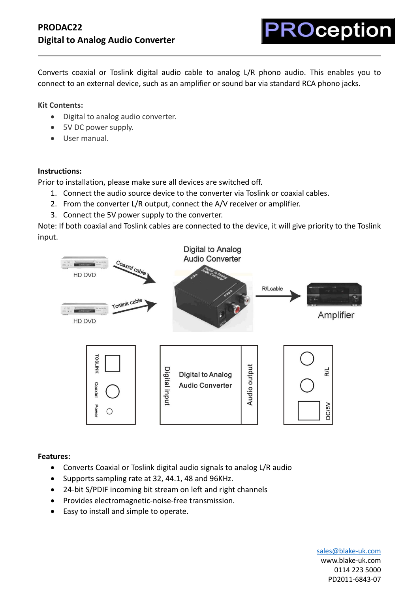Converts coaxial or Toslink digital audio cable to analog L/R phono audio. This enables you to connect to an external device, such as an amplifier or sound bar via standard RCA phono jacks.

**Kit Contents:**

- Digital to analog audio converter.
- 5V DC power supply.
- User manual.

## **Instructions:**

Prior to installation, please make sure all devices are switched off.

- 1. Connect the audio source device to the converter via Toslink or coaxial cables.
- 2. From the converter L/R output, connect the A/V receiver or amplifier.
- 3. Connect the 5V power supply to the converter.

Note: If both coaxial and Toslink cables are connected to the device, it will give priority to the Toslink input.



## **Features:**

- Converts Coaxial or Toslink digital audio signals to analog L/R audio
- Supports sampling rate at 32, 44.1, 48 and 96KHz.
- 24-bit S/PDIF incoming bit stream on left and right channels
- Provides electromagnetic-noise-free transmission.
- Easy to install and simple to operate.

[sales@blake-uk.com](mailto:sales@blake-uk.com) [www.blake-uk.com](http://www.blake-uk.com/) 0114 223 5000 PD2011-6843-07

**ROception**